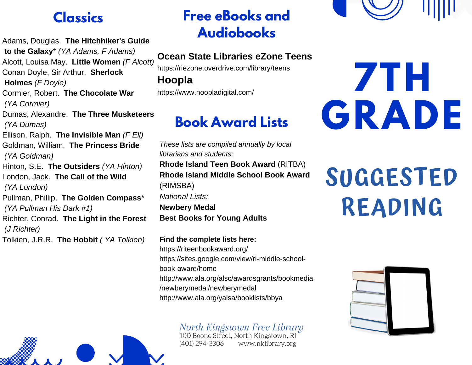#### **Classics**

Adams, Douglas. **The Hitchhiker's Guide to the Galaxy**\* *(YA Adams, F Adams)* Alcott, Louisa May. **Little Women** *(F Alcott)* Conan Doyle, Sir Arthur. **Sherlock Holmes** *(F Doyle)* Cormier, Robert. **The Chocolate War** *(YA Cormier)* Dumas, Alexandre. **The Three Musketeers** *(YA Dumas)* Ellison, Ralph. **The Invisible Man** *(F Ell)* Goldman, William. **The Princess Bride** *(YA Goldman)* Hinton, S.E. **The Outsiders** *(YA Hinton)* London, Jack. **The Call of the Wild** *(YA London)* Pullman, Phillip. **The Golden Compass**\* *(YA Pullman His Dark #1)* Richter, Conrad. **The Light in the Forest** *(J Richter)* Tolkien, J.R.R. **The Hobbit** *( YA Tolkien)*

## **Free eBooks and Audiobooks**

#### **Ocean State Libraries eZone Teens**

https://riezone.overdrive.com/library/teens

**Hoopla**

https://www.hoopladigital.com/

## **Book Award Lists**

*These lists are compiled annually by local librarians and students:* **Rhode Island Teen Book Award** (RITBA) **Rhode Island Middle School Book Award** (RIMSBA) *National Lists:* **Newbery Medal Best Books for Young Adults**

**Find the complete lists here:** https://riteenbookaward.org/ https://sites.google.com/view/ri-middle-schoolbook-award/home http://www.ala.org/alsc/awardsgrants/bookmedia /newberymedal/newberymedal http://www.ala.org/yalsa/booklists/bbya

North Kingstown Free Library<br>100 Boone Street, North Kingstown, RI

(401) 294-3306 www.nklibrary.org

# **7TH GRADE**

## **SUGGESTED READING**